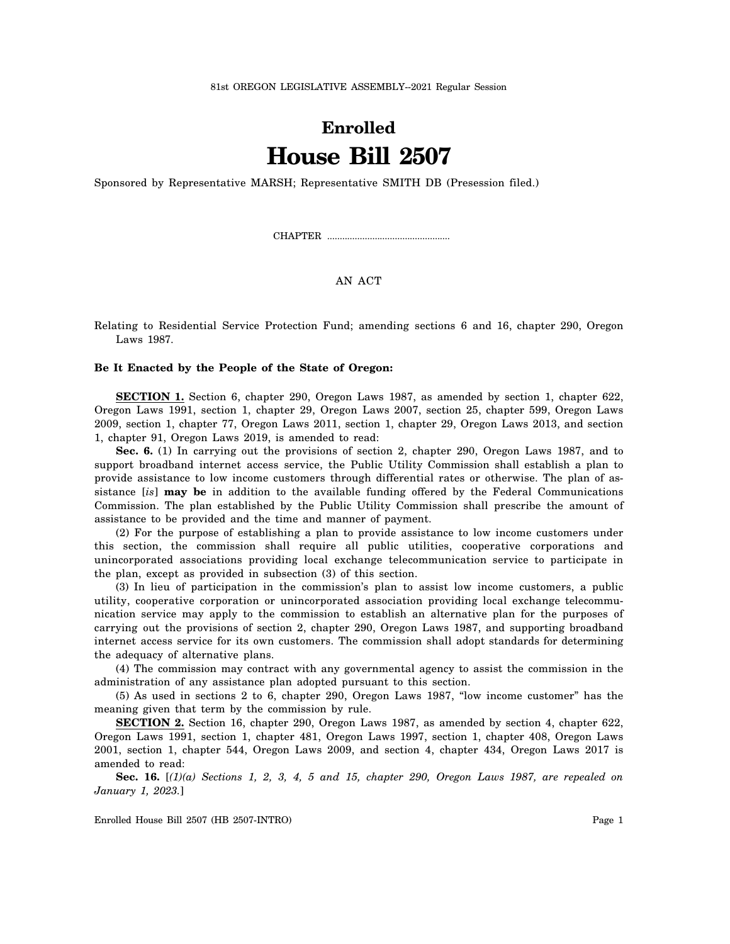81st OREGON LEGISLATIVE ASSEMBLY--2021 Regular Session

## **Enrolled House Bill 2507**

Sponsored by Representative MARSH; Representative SMITH DB (Presession filed.)

CHAPTER .................................................

AN ACT

Relating to Residential Service Protection Fund; amending sections 6 and 16, chapter 290, Oregon Laws 1987.

## **Be It Enacted by the People of the State of Oregon:**

**SECTION 1.** Section 6, chapter 290, Oregon Laws 1987, as amended by section 1, chapter 622, Oregon Laws 1991, section 1, chapter 29, Oregon Laws 2007, section 25, chapter 599, Oregon Laws 2009, section 1, chapter 77, Oregon Laws 2011, section 1, chapter 29, Oregon Laws 2013, and section 1, chapter 91, Oregon Laws 2019, is amended to read:

**Sec. 6.** (1) In carrying out the provisions of section 2, chapter 290, Oregon Laws 1987, and to support broadband internet access service, the Public Utility Commission shall establish a plan to provide assistance to low income customers through differential rates or otherwise. The plan of assistance [*is*] **may be** in addition to the available funding offered by the Federal Communications Commission. The plan established by the Public Utility Commission shall prescribe the amount of assistance to be provided and the time and manner of payment.

(2) For the purpose of establishing a plan to provide assistance to low income customers under this section, the commission shall require all public utilities, cooperative corporations and unincorporated associations providing local exchange telecommunication service to participate in the plan, except as provided in subsection (3) of this section.

(3) In lieu of participation in the commission's plan to assist low income customers, a public utility, cooperative corporation or unincorporated association providing local exchange telecommunication service may apply to the commission to establish an alternative plan for the purposes of carrying out the provisions of section 2, chapter 290, Oregon Laws 1987, and supporting broadband internet access service for its own customers. The commission shall adopt standards for determining the adequacy of alternative plans.

(4) The commission may contract with any governmental agency to assist the commission in the administration of any assistance plan adopted pursuant to this section.

(5) As used in sections 2 to 6, chapter 290, Oregon Laws 1987, "low income customer" has the meaning given that term by the commission by rule.

**SECTION 2.** Section 16, chapter 290, Oregon Laws 1987, as amended by section 4, chapter 622, Oregon Laws 1991, section 1, chapter 481, Oregon Laws 1997, section 1, chapter 408, Oregon Laws 2001, section 1, chapter 544, Oregon Laws 2009, and section 4, chapter 434, Oregon Laws 2017 is amended to read:

**Sec. 16.** [*(1)(a) Sections 1, 2, 3, 4, 5 and 15, chapter 290, Oregon Laws 1987, are repealed on January 1, 2023.*]

Enrolled House Bill 2507 (HB 2507-INTRO) Page 1